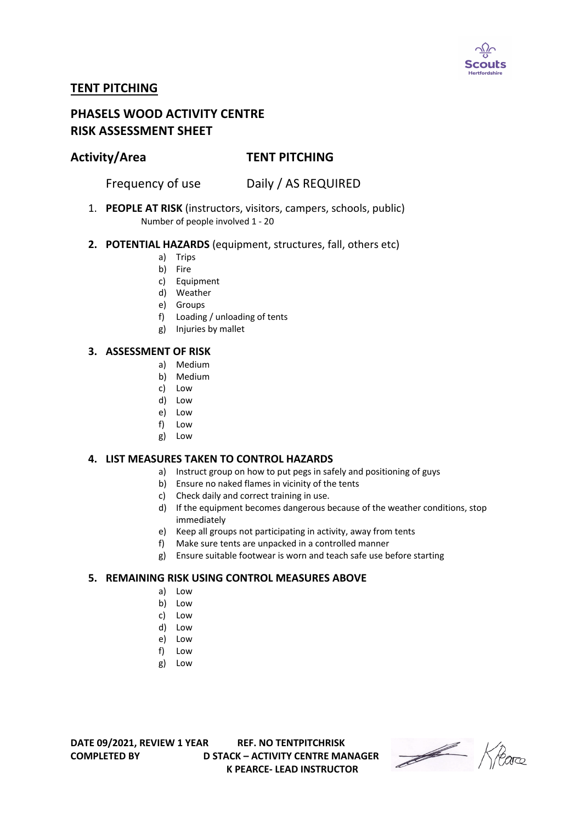

# **TENT PITCHING**

# **PHASELS WOOD ACTIVITY CENTRE RISK ASSESSMENT SHEET**

## **Activity/Area TENT PITCHING**

Frequency of use Daily / AS REQUIRED

1. **PEOPLE AT RISK** (instructors, visitors, campers, schools, public) Number of people involved 1 - 20

#### **2. POTENTIAL HAZARDS** (equipment, structures, fall, others etc)

- a) Trips
- b) Fire
- c) Equipment
- d) Weather
- e) Groups
- f) Loading / unloading of tents
- g) Injuries by mallet

#### **3. ASSESSMENT OF RISK**

- a) Medium
- b) Medium
- c) Low
- d) Low
- e) Low
- f) Low
- g) Low

#### **4. LIST MEASURES TAKEN TO CONTROL HAZARDS**

- a) Instruct group on how to put pegs in safely and positioning of guys
- b) Ensure no naked flames in vicinity of the tents
- c) Check daily and correct training in use.
- d) If the equipment becomes dangerous because of the weather conditions, stop immediately
- e) Keep all groups not participating in activity, away from tents
- f) Make sure tents are unpacked in a controlled manner
- g) Ensure suitable footwear is worn and teach safe use before starting

### **5. REMAINING RISK USING CONTROL MEASURES ABOVE**

- a) Low
- b) Low
- c) Low
- d) Low
- e) Low
- f) Low
- g) Low

**DATE 09/2021, REVIEW 1 YEAR REF. NO TENTPITCHRISK COMPLETED BY D STACK – ACTIVITY CENTRE MANAGER K PEARCE- LEAD INSTRUCTOR** 

Heare